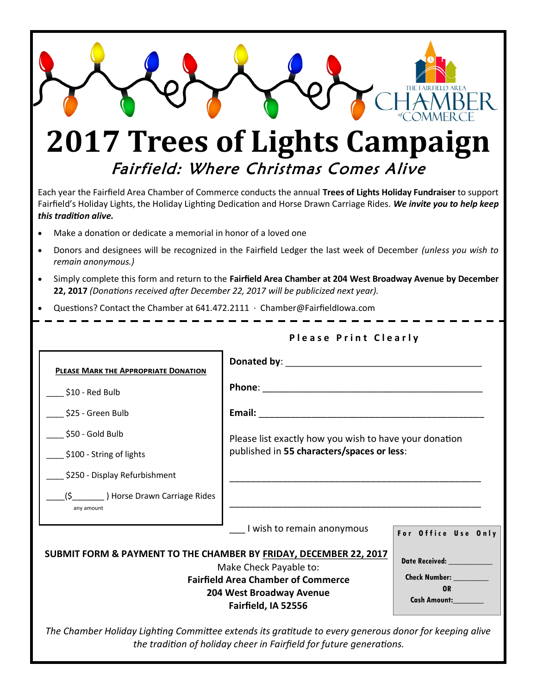

*the tradition of holiday cheer in Fairfield for future generations.*